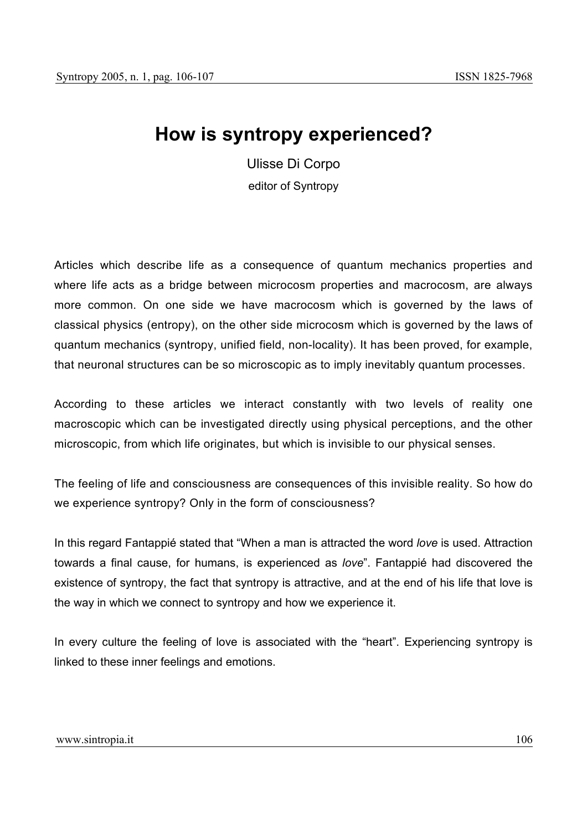## **How is syntropy experienced?**

Ulisse Di Corpo editor of Syntropy

Articles which describe life as a consequence of quantum mechanics properties and where life acts as a bridge between microcosm properties and macrocosm, are always more common. On one side we have macrocosm which is governed by the laws of classical physics (entropy), on the other side microcosm which is governed by the laws of quantum mechanics (syntropy, unified field, non-locality). It has been proved, for example, that neuronal structures can be so microscopic as to imply inevitably quantum processes.

According to these articles we interact constantly with two levels of reality one macroscopic which can be investigated directly using physical perceptions, and the other microscopic, from which life originates, but which is invisible to our physical senses.

The feeling of life and consciousness are consequences of this invisible reality. So how do we experience syntropy? Only in the form of consciousness?

In this regard Fantappié stated that "When a man is attracted the word *love* is used. Attraction towards a final cause, for humans, is experienced as *love*". Fantappié had discovered the existence of syntropy, the fact that syntropy is attractive, and at the end of his life that love is the way in which we connect to syntropy and how we experience it.

In every culture the feeling of love is associated with the "heart". Experiencing syntropy is linked to these inner feelings and emotions.